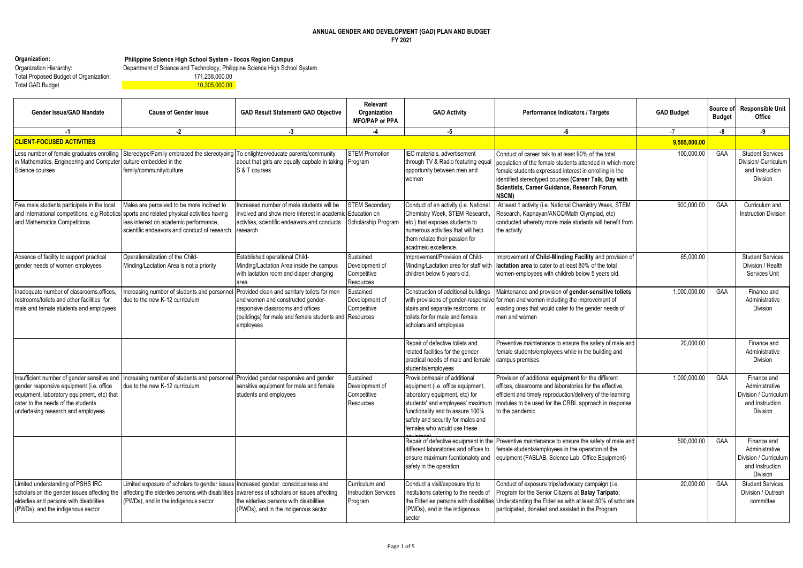## **ANNUAL GENDER AND DEVELOPMENT (GAD) PLAN AND BUDGET FY 2021**

|  | Organization: |
|--|---------------|
|--|---------------|

**Organization: Philippine Science High School System - Ilocos Region Campus**

Total Proposed Budget of Organization: 171,238,000.00 Total GAD Budget 11,305,000.00

Organization Hierarchy: Department of Science and Technology, Philippine Science High School System

| Gender Issue/GAD Mandate                                                                                                                                                                                          | <b>Cause of Gender Issue</b>                                                                                                                                                                                                        | <b>GAD Result Statement/ GAD Objective</b>                                                                                                                                                   | Relevant<br>Organization<br><b>MFO/PAP or PPA</b>            | <b>GAD Activity</b>                                                                                                                                                                                                                               | Performance Indicators / Targets                                                                                                                                                                                                                                                                   | <b>GAD Budget</b> | Source of<br><b>Budget</b> | <b>Responsible Unit</b><br>Office                                                     |
|-------------------------------------------------------------------------------------------------------------------------------------------------------------------------------------------------------------------|-------------------------------------------------------------------------------------------------------------------------------------------------------------------------------------------------------------------------------------|----------------------------------------------------------------------------------------------------------------------------------------------------------------------------------------------|--------------------------------------------------------------|---------------------------------------------------------------------------------------------------------------------------------------------------------------------------------------------------------------------------------------------------|----------------------------------------------------------------------------------------------------------------------------------------------------------------------------------------------------------------------------------------------------------------------------------------------------|-------------------|----------------------------|---------------------------------------------------------------------------------------|
| $-1$                                                                                                                                                                                                              | $-2$                                                                                                                                                                                                                                | $-3$                                                                                                                                                                                         | -4                                                           | -5                                                                                                                                                                                                                                                | -6                                                                                                                                                                                                                                                                                                 | $-7$              | -8                         | -9                                                                                    |
| <b>CLIENT-FOCUSED ACTIVITIES</b>                                                                                                                                                                                  |                                                                                                                                                                                                                                     |                                                                                                                                                                                              |                                                              |                                                                                                                                                                                                                                                   |                                                                                                                                                                                                                                                                                                    | 9,585,000.00      |                            |                                                                                       |
| Less number of female graduates enrolling<br>in Mathematics, Engineering and Computer<br>Science courses                                                                                                          | Stereotype/Family embraced the stereotyping<br>culture embedded in the<br>family/community/culture                                                                                                                                  | To enlighten/educate parents/community<br>about that girls are equally capbale in taking<br>S & T courses                                                                                    | <b>STEM Promotion</b><br>Program                             | IEC materials, advertisement<br>through TV & Radio featuring equal<br>opportunity between men and<br>women                                                                                                                                        | Conduct of career talk to at least 90% of the total<br>population of the female students attended in which more<br>female students expressed interest in enrolling in the<br>identified stereotyped courses (Career Talk, Day with<br>Scientists, Career Guidance, Research Forum,<br><b>NSCM)</b> | 100.000.00        | GAA                        | <b>Student Services</b><br>Division/ Curriculum<br>and Instruction<br>Division        |
| Few male students participate in the local<br>and Mathematics Competitions                                                                                                                                        | Males are perceived to be more inclined to<br>and international competitions; e.g Robotics sports and related physical activities having<br>less interest on academic performance,<br>scientific endeavors and conduct of research. | ncreased number of male students will be<br>involved and show more interest in academic<br>activties, scientific endeavors and conducts<br>research                                          | <b>STEM Secondary</b><br>Education on<br>Scholarship Program | Conduct of an activity (i.e. National<br>Chemistry Week, STEM Research.<br>etc) that exposes students to<br>numerous activities that will help<br>them relaize their passion for<br>acadmeic excellence.                                          | At least 1 activity (i.e. National Chemistry Week, STEM<br>Research, Kapnayan/ANCQ/Math Olympiad, etc)<br>conducted whereby more male students will benefit from<br>the activity                                                                                                                   | 500,000.00        | GAA                        | Curriculum and<br><b>Instruction Division</b>                                         |
| Absence of facility to support practical<br>gender needs of women employees                                                                                                                                       | Operationalization of the Child-<br>Minding/Lactation Area is not a priority                                                                                                                                                        | Established operational Child-<br>Minding/Lactation Area inside the campus<br>with lactation room and diaper changing<br>area                                                                | Sustained<br>Development of<br>Competitive<br>Resources      | Improvement/Provision of Child-<br>Minding/Lactation area for staff with<br>children below 5 years old.                                                                                                                                           | Improvement of Child-Minding Facility and provision of<br>lactation area to cater to at least 80% of the total<br>women-employees with childreb below 5 years old.                                                                                                                                 | 65.000.00         |                            | <b>Student Services</b><br>Division / Health<br>Services Unit                         |
| Inadequate number of classrooms, offices<br>restrooms/toilets and other facilities for<br>male and female students and employees                                                                                  | Increasing number of students and personnel<br>due to the new K-12 curriculum                                                                                                                                                       | Provided clean and sanitary toilets for men<br>and women and constructed gender-<br>responsive classrooms and offices<br>(buildings) for male and female students and Resources<br>employees | Sustained<br>Development of<br>Competitive                   | Construction of additional buildings<br>with provisions of gender-responsive<br>stairs and separate restrooms or<br>toilets for for male and female<br>scholars and employees                                                                     | Maintenance and provision of gender-sensitive toliets<br>for men and women including the improvement of<br>existing ones that would cater to the gender needs of<br>men and women                                                                                                                  | 1,000,000.00      | GAA                        | Finance and<br>Administrative<br>Division                                             |
|                                                                                                                                                                                                                   |                                                                                                                                                                                                                                     |                                                                                                                                                                                              |                                                              | Repair of defective toilets and<br>related facilities for the gender<br>practical needs of male and female<br>students/employees                                                                                                                  | Preventive maintenance to ensure the safety of male and<br>female students/employees while in the building and<br>campus premises                                                                                                                                                                  | 20,000.00         |                            | Finance and<br>Administrative<br><b>Division</b>                                      |
| Insufficient number of gender sensitive and<br>gender responsive equipment (i.e. office<br>equipment, laboratory equipment, etc) that<br>cater to the needs of the students<br>undertaking research and employees | Increasing number of students and personnel<br>due to the new K-12 curriculum                                                                                                                                                       | Provided gender responsive and gender<br>sensitive equipment for male and female<br>students and employees                                                                                   | Sustained<br>Development of<br>Competitive<br>Resources      | Provision/repair of additional<br>equipment (i.e. office equipment,<br>laboratory equipment, etc) for<br>students' and employees' maximum<br>functionality and to assure 100%<br>safety and security for males and<br>females who would use these | Provision of additional equipment for the different<br>offices, classrooms and laboratories for the effective,<br>efficient and timely reproduction/delivery of the learning<br>modules to be used for the CRBL approach in response<br>to the pandemic                                            | 1.000.000.00      | GAA                        | Finance and<br>Administrative<br>Division / Curriculum<br>and Instruction<br>Division |
|                                                                                                                                                                                                                   |                                                                                                                                                                                                                                     |                                                                                                                                                                                              |                                                              | Repair of defective equipment in the<br>different laboratories and offices to<br>ensure maximum fucntionaloty and<br>safety in the operation                                                                                                      | Preventive maintenance to ensure the safety of male and<br>female students/employees in the operation of the<br>equipment (FABLAB, Science Lab, Office Equipment)                                                                                                                                  | 500.000.00        | GAA                        | Finance and<br>Administrative<br>Division / Curriculum<br>and Instruction<br>Division |
| Limited understanding of PSHS IRC<br>scholars on the gender issues affecting the<br>elderlies and persons with disabilities<br>(PWDs), and the indigenous sector                                                  | Limited exposure of scholars to gender issues<br>affecting the elderlies persons with disabilities<br>(PWDs), and in the indigenous sector                                                                                          | Increased gender consciousness and<br>awareness of scholars on issues affecting<br>the elderlies persons with disabilities<br>(PWDs), and in the indigenous sector                           | Curriculum and<br>nstruction Services<br>Program             | Conduct a visit/exposure trip to<br>institutions catering to the needs of<br>the Elderlies persons with disabilities<br>(PWDs), and in the indigenous<br>sector                                                                                   | Conduct of exposure trips/advocacy campaign (i.e.<br>Program for the Senior Citizens at Balay Taripato:<br>Understanding the Elderlies with at least 50% of scholars<br>participated, donated and assisted in the Program                                                                          | 20.000.00         | GAA                        | <b>Student Services</b><br>Division / Outreah<br>committee                            |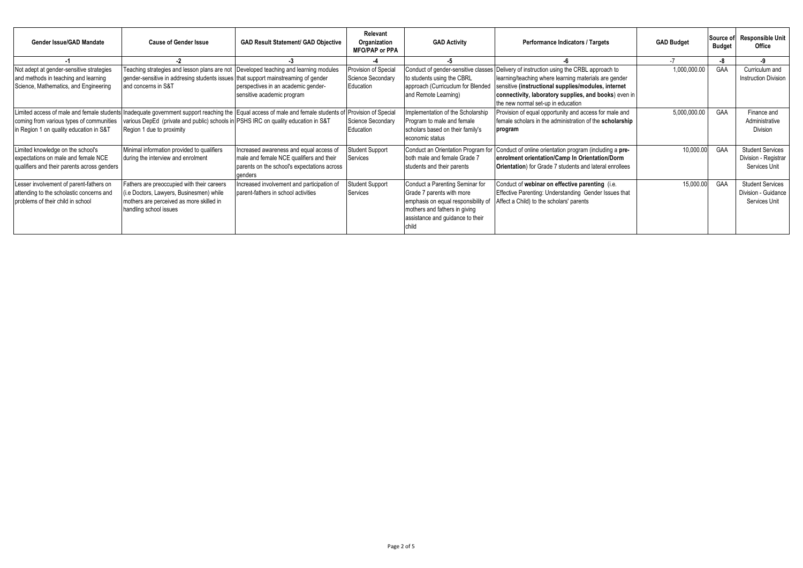| Gender Issue/GAD Mandate                                                                                                          | <b>Cause of Gender Issue</b>                                                                                                                                                                              | <b>GAD Result Statement/ GAD Objective</b>                                                                                                    | Relevant<br>Organization<br><b>MFO/PAP or PPA</b>      | <b>GAD Activity</b>                                                                                                                                                      | Performance Indicators / Targets                                                                                                                                                                                                                                  | <b>GAD Budget</b> | Source of<br><b>Budget</b> | <b>Responsible Unit</b><br>Office                                |
|-----------------------------------------------------------------------------------------------------------------------------------|-----------------------------------------------------------------------------------------------------------------------------------------------------------------------------------------------------------|-----------------------------------------------------------------------------------------------------------------------------------------------|--------------------------------------------------------|--------------------------------------------------------------------------------------------------------------------------------------------------------------------------|-------------------------------------------------------------------------------------------------------------------------------------------------------------------------------------------------------------------------------------------------------------------|-------------------|----------------------------|------------------------------------------------------------------|
|                                                                                                                                   |                                                                                                                                                                                                           |                                                                                                                                               |                                                        | -5                                                                                                                                                                       |                                                                                                                                                                                                                                                                   |                   | -8                         | -9                                                               |
| Not adept at gender-sensitive strategies<br>and methods in teaching and learning<br>Science, Mathematics, and Engineering         | Teaching strategies and lesson plans are not Developed teaching and learning modules<br>gender-sensitive in addresing students issues that support mainstreaming of gender<br>and concerns in S&T         | perspectives in an academic gender-<br>sensitive academic program                                                                             | Provision of Special<br>Science Secondary<br>Education | Conduct of gender-sensitive classes<br>to students using the CBRL<br>approach (Curricuclum for Blended<br>and Remote Learning)                                           | Delivery of instruction using the CRBL approach to<br>learning/teaching where learning materials are gender<br>sensitive (instructional supplies/modules, internet<br>connectivity, laboratory supplies, and books) even in<br>the new normal set-up in education | 1,000,000.00      | GAA                        | Curriculum and<br><b>Instruction Division</b>                    |
| Limited access of male and female students<br>coming from various types of communities<br>in Region 1 on quality education in S&T | Inadequate government support reaching the Equal access of male and female students of<br>various DepEd (private and public) schools in PSHS IRC on quality education in S&T<br>Region 1 due to proximity |                                                                                                                                               | Provision of Special<br>Science Secondary<br>Education | Implementation of the Scholarship<br>Program to male and female<br>scholars based on their family's<br>economic status                                                   | Provision of equal opportunity and access for male and<br>female scholars in the administration of the scholarship<br>program                                                                                                                                     | 5,000,000.00      | GAA                        | Finance and<br>Administrative<br>Division                        |
| Limited knowledge on the school's<br>expectations on male and female NCE<br>qualifiers and their parents across genders           | Minimal information provided to qualifiers<br>during the interview and enrolment                                                                                                                          | Increased awareness and equal access of<br>male and female NCE qualifiers and their<br>parents on the school's expectations across<br>genders | Student Support<br>Services                            | Conduct an Orientation Program for<br>both male and female Grade 7<br>students and their parents                                                                         | Conduct of online orientation program (including a pre-<br>enrolment orientation/Camp In Orientation/Dorm<br><b>Orientation</b> ) for Grade 7 students and lateral enrollees                                                                                      | 10,000.00         | GAA                        | <b>Student Services</b><br>Division - Registrar<br>Services Unit |
| Lesser involvement of parent-fathers on<br>attending to the scholastic concerns and<br>problems of their child in school          | Fathers are preoccupied with their careers<br>(i.e Doctors, Lawyers, Businesmen) while<br>mothers are perceived as more skilled in<br>handling school issues                                              | Increased involvement and participation of<br>parent-fathers in school activities                                                             | Student Support<br>Services                            | Conduct a Parenting Seminar for<br>Grade 7 parents with more<br>emphasis on equal responsibility of<br>mothers and fathers in giving<br>assistance and guidance to their | Conduct of webinar on effective parenting (i.e.<br>Effective Parenting: Understanding Gender Issues that<br>Affect a Child) to the scholars' parents                                                                                                              | 15,000.00         | GAA                        | <b>Student Services</b><br>Division - Guidance<br>Services Unit  |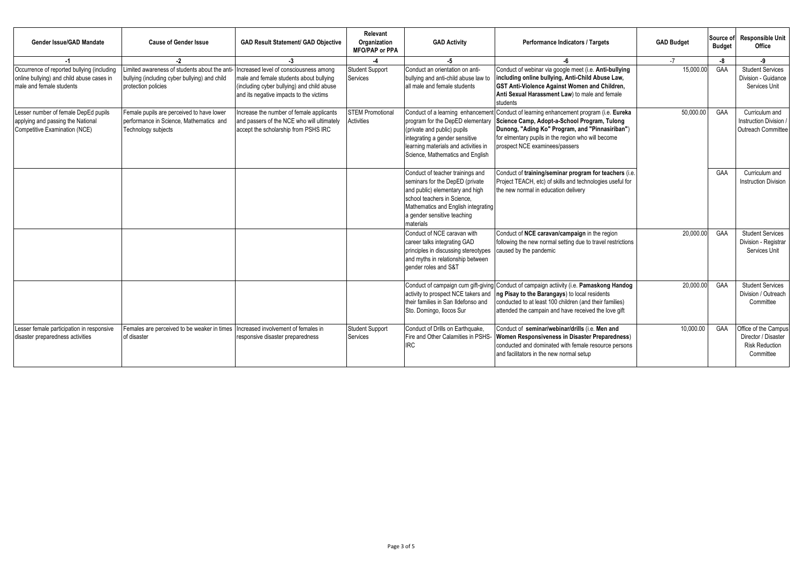| Gender Issue/GAD Mandate                                                                                            | <b>Cause of Gender Issue</b>                                                                                        | <b>GAD Result Statement/ GAD Objective</b>                                                                                                                                 | Relevant<br>Organization<br><b>MFO/PAP or PPA</b> | <b>GAD Activity</b>                                                                                                                                                                                                      | Performance Indicators / Targets                                                                                                                                                                                                                | <b>GAD Budget</b> | Source of<br><b>Budget</b> | <b>Responsible Unit</b><br>Office                                                 |
|---------------------------------------------------------------------------------------------------------------------|---------------------------------------------------------------------------------------------------------------------|----------------------------------------------------------------------------------------------------------------------------------------------------------------------------|---------------------------------------------------|--------------------------------------------------------------------------------------------------------------------------------------------------------------------------------------------------------------------------|-------------------------------------------------------------------------------------------------------------------------------------------------------------------------------------------------------------------------------------------------|-------------------|----------------------------|-----------------------------------------------------------------------------------|
| -1                                                                                                                  | $-2$                                                                                                                | $-3$                                                                                                                                                                       |                                                   | $-5$                                                                                                                                                                                                                     |                                                                                                                                                                                                                                                 | $-7$              | -8                         | -9                                                                                |
| Occurrence of reported bullying (including<br>online bullying) and child abuse cases in<br>male and female students | Limited awareness of students about the ant<br>bullying (including cyber bullying) and child<br>protection policies | Increased level of consciousness among<br>male and female students about bullying<br>(including cyber bullying) and child abuse<br>and its negative impacts to the victims | <b>Student Support</b><br>Services                | Conduct an orientation on anti-<br>bullying and anti-child abuse law to<br>all male and female students                                                                                                                  | Conduct of webinar via google meet (i.e. Anti-bullying<br>including online bullying, Anti-Child Abuse Law,<br><b>GST Anti-Violence Against Women and Children,</b><br>Anti Sexual Harassment Law) to male and female<br>students                | 15,000.00         | GAA                        | <b>Student Services</b><br>Division - Guidance<br>Services Unit                   |
| Lesser number of female DepEd pupils<br>applying and passing the National<br>Competitive Examination (NCE)          | Female pupils are perceived to have lower<br>performance in Science. Mathematics and<br>Technology subjects         | Increase the number of female applicants<br>and passers of the NCE who will ultimately<br>accept the scholarship from PSHS IRC                                             | <b>STEM Promotional</b><br>Activities             | Conduct of a learning enhancement<br>program for the DepED elementary<br>(private and public) pupils<br>integrating a gender sensitive<br>learning materials and activities in<br>Science, Mathematics and English       | Conduct of learning enhancement program (i.e. Eureka<br>Science Camp, Adopt-a-School Program, Tulong<br>Dunong, "Ading Ko" Program, and "Pinnasiriban")<br>for elmentary pupils in the region who will become<br>prospect NCE examinees/passers | 50.000.00         | GAA                        | Curriculum and<br><b>Instruction Division</b><br>Outreach Committee               |
|                                                                                                                     |                                                                                                                     |                                                                                                                                                                            |                                                   | Conduct of teacher trainings and<br>seminars for the DepED (private<br>and public) elementary and high<br>school teachers in Science.<br>Mathematics and English integrating<br>a gender sensitive teaching<br>materials | Conduct of training/seminar program for teachers (i.e.<br>Project TEACH, etc) of skills and technologies useful for<br>the new normal in education delivery                                                                                     |                   | GAA                        | Curriculum and<br><b>Instruction Division</b>                                     |
|                                                                                                                     |                                                                                                                     |                                                                                                                                                                            |                                                   | Conduct of NCE caravan with<br>career talks integrating GAD<br>principles in discussing stereotypes<br>and myths in relationship between<br>gender roles and S&T                                                         | Conduct of NCE caravan/campaign in the region<br>following the new normal setting due to travel restrictions<br>caused by the pandemic                                                                                                          | 20,000.00         | GAA                        | <b>Student Services</b><br>Division - Registrar<br>Services Unit                  |
|                                                                                                                     |                                                                                                                     |                                                                                                                                                                            |                                                   | Conduct of campaign cum gift-giving<br>activity to prospect NCE takers and<br>their families in San Ildefonso and<br>Sto. Domingo, Ilocos Sur                                                                            | Conduct of campaign actiivity (i.e. Pamaskong Handog<br>Ing Pisay to the Barangays) to local residents<br>conducted to at least 100 children (and their families)<br>attended the campain and have received the love gift                       | 20,000.00         | GAA                        | <b>Student Services</b><br>Division / Outreach<br>Committee                       |
| Lesser female participation in responsive<br>disaster preparedness activities                                       | Females are perceived to be weaker in times<br>of disaster                                                          | Increased involvement of females in<br>responsive disaster preparedness                                                                                                    | <b>Student Support</b><br>Services                | Conduct of Drills on Earthquake,<br>Fire and Other Calamities in PSHS-<br><b>IRC</b>                                                                                                                                     | Conduct of seminar/webinar/drills (i.e. Men and<br>Women Responsiveness in Disaster Preparedness)<br>conducted and dominated with female resource persons<br>and facilitators in the new normal setup                                           | 10.000.00         | GAA                        | Office of the Campus<br>Director / Disaster<br><b>Risk Reduction</b><br>Committee |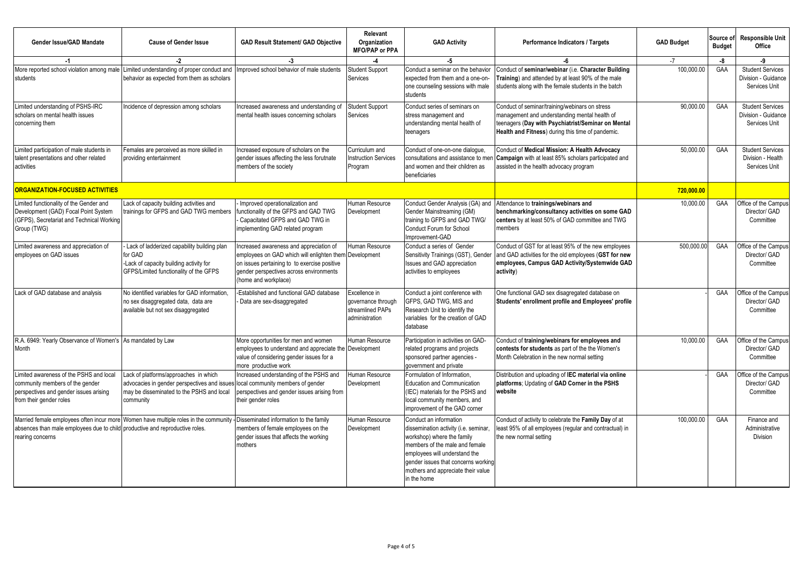| Gender Issue/GAD Mandate                                                                                                                        | <b>Cause of Gender Issue</b>                                                                                                                    | <b>GAD Result Statement/ GAD Objective</b>                                                                                                                                                                          | Relevant<br>Organization<br><b>MFO/PAP or PPA</b>                         | <b>GAD Activity</b>                                                                                                                                                                                                                                          | Performance Indicators / Targets                                                                                                                                                                           | <b>GAD Budget</b> | Source of<br><b>Budget</b> | <b>Responsible Unit</b><br>Office                               |
|-------------------------------------------------------------------------------------------------------------------------------------------------|-------------------------------------------------------------------------------------------------------------------------------------------------|---------------------------------------------------------------------------------------------------------------------------------------------------------------------------------------------------------------------|---------------------------------------------------------------------------|--------------------------------------------------------------------------------------------------------------------------------------------------------------------------------------------------------------------------------------------------------------|------------------------------------------------------------------------------------------------------------------------------------------------------------------------------------------------------------|-------------------|----------------------------|-----------------------------------------------------------------|
| $-1$                                                                                                                                            | -2                                                                                                                                              | $-3$                                                                                                                                                                                                                |                                                                           | -5                                                                                                                                                                                                                                                           | -6                                                                                                                                                                                                         | $-7$              | -8                         | -9                                                              |
| More reported school violation among male<br>students                                                                                           | Limited understanding of proper conduct and<br>behavior as expected from them as scholars                                                       | mproved school behavior of male students                                                                                                                                                                            | <b>Student Support</b><br>Services                                        | Conduct a seminar on the behavior<br>expected from them and a one-on-<br>one counseling sessions with male<br>students                                                                                                                                       | Conduct of seminar/webinar (i.e. Character Building<br>Training) and attended by at least 90% of the male<br>students along with the female students in the batch                                          | 100.000.00        | GAA                        | <b>Student Services</b><br>Division - Guidance<br>Services Unit |
| Limited understanding of PSHS-IRC<br>scholars on mental health issues<br>concerning them                                                        | Incidence of depression among scholars                                                                                                          | ncreased awareness and understanding of<br>mental health issues concerning scholars                                                                                                                                 | <b>Student Support</b><br>Services                                        | Conduct series of seminars on<br>stress management and<br>understanding mental health of<br>teenagers                                                                                                                                                        | Conduct of seminar/training/webinars on stress<br>management and understanding mental health of<br>teenagers (Day with Psychiatrist/Seminar on Mental<br>Health and Fitness) during this time of pandemic. | 90,000.00         | GAA                        | <b>Student Services</b><br>Division - Guidance<br>Services Unit |
| Limited participation of male students in<br>talent presentations and other related<br>activities                                               | Females are perceived as more skilled in<br>providing entertainment                                                                             | Increased exposure of scholars on the<br>gender issues affecting the less forutnate<br>members of the society                                                                                                       | Curriculum and<br><b>Instruction Services</b><br>Program                  | Conduct of one-on-one dialogue,<br>consultations and assistance to mer<br>and women and their children as<br>beneficiaries                                                                                                                                   | Conduct of Medical Mission: A Health Advocacy<br>Campaign with at least 85% scholars participated and<br>assisted in the health advocacy program                                                           | 50.000.00         | GAA                        | <b>Student Services</b><br>Division - Health<br>Services Unit   |
| <b>ORGANIZATION-FOCUSED ACTIVITIES</b>                                                                                                          |                                                                                                                                                 |                                                                                                                                                                                                                     |                                                                           |                                                                                                                                                                                                                                                              |                                                                                                                                                                                                            | 720,000.00        |                            |                                                                 |
| Limited functionality of the Gender and<br>Development (GAD) Focal Point System<br>(GFPS), Secretariat and Technical Working<br>Group (TWG)     | Lack of capacity building activities and<br>trainings for GFPS and GAD TWG members                                                              | Improved operationalization and<br>functionality of the GFPS and GAD TWG<br>Capacitated GFPS and GAD TWG in<br>implementing GAD related program                                                                     | Human Resource<br>Development                                             | Conduct Gender Analysis (GA) and<br>Gender Mainstreaming (GM)<br>training to GFPS and GAD TWG/<br>Conduct Forum for School<br>Improvement-GAD                                                                                                                | Attendance to trainings/webinars and<br>benchmarking/consultancy activities on some GAD<br>centers by at least 50% of GAD committee and TWG<br>members                                                     | 10,000.00         | GAA                        | Office of the Campus<br>Director/ GAD<br>Committee              |
| Limited awareness and appreciation of<br>employees on GAD issues                                                                                | Lack of ladderized capability building plan<br>for GAD<br>-Lack of capacity building activity for<br>GFPS/Limited functionality of the GFPS     | ncreased awareness and appreciation of<br>employees on GAD which will enlighten them Development<br>on issues pertaining to to exercise positive<br>gender perspectives across environments<br>(home and workplace) | Human Resource                                                            | Conduct a series of Gender<br>Sensitivity Trainings (GST), Gender<br>Issues and GAD appreciation<br>activities to employees                                                                                                                                  | Conduct of GST for at least 95% of the new employees<br>and GAD activities for the old employees (GST for new<br>employees, Campus GAD Activity/Systemwide GAD<br>activity)                                | 500.000.00        | GAA                        | Office of the Campus<br>Director/ GAD<br>Committee              |
| Lack of GAD database and analysis                                                                                                               | No identified variables for GAD information.<br>no sex disaggregated data, data are<br>available but not sex disaggregated                      | Established and functional GAD database<br>Data are sex-disaggregated                                                                                                                                               | Excellence in<br>governance through<br>streamlined PAPs<br>administration | Conduct a joint conference with<br>GFPS, GAD TWG, MIS and<br>Research Unit to identify the<br>variables for the creation of GAD<br>database                                                                                                                  | One functional GAD sex disagregated database on<br>Students' enrollment profile and Employees' profile                                                                                                     |                   | GAA                        | Office of the Campus<br>Director/ GAD<br>Committee              |
| R.A. 6949: Yearly Observance of Women's As mandated by Law<br>Month                                                                             |                                                                                                                                                 | More opportunities for men and women<br>employees to understand and appreciate the Development<br>value of considering gender issues for a<br>more productive work                                                  | Human Resource                                                            | Participation in activities on GAD-<br>related programs and projects<br>sponsored partner agencies -<br>government and private                                                                                                                               | Conduct of training/webinars for employees and<br>contests for students as part of the the Women's<br>Month Celebration in the new normal setting                                                          | 10.000.00         | <b>GAA</b>                 | Office of the Campus<br>Director/ GAD<br>Committee              |
| Limited awareness of the PSHS and local<br>community members of the gender<br>perspectives and gender issues arising<br>from their gender roles | Lack of platforms/approaches in which<br>advocacies in gender perspectives and issues<br>may be disseminated to the PSHS and local<br>community | Increased understanding of the PSHS and<br>local community members of gender<br>perspectives and gender issues arising from<br>their gender roles                                                                   | Human Resource<br>Development                                             | Formulation of Information.<br><b>Education and Communication</b><br>(IEC) materials for the PSHS and<br>local community members, and<br>improvement of the GAD corner                                                                                       | Distribution and uploading of IEC material via online<br>platforms; Updating of GAD Corner in the PSHS<br>website                                                                                          |                   | GAA                        | Office of the Campus<br>Director/ GAD<br>Committee              |
| absences than male employees due to child productive and reproductive roles.<br>rearing concerns                                                | Married female employees often incur more Women have multiple roles in the community                                                            | Disseminated information to the family<br>members of female employees on the<br>gender issues that affects the working<br>mothers                                                                                   | Human Resource<br>Development                                             | Conduct an information<br>dissemination activity (i.e. seminar,<br>workshop) where the family<br>members of the male and female<br>employees will understand the<br>gender issues that concerns working<br>mothers and appreciate their value<br>in the home | Conduct of activity to celebrate the Family Day of at<br>east 95% of all employees (regular and contractual) in<br>the new normal setting                                                                  | 100.000.00        | GAA                        | Finance and<br>Administrative<br><b>Division</b>                |